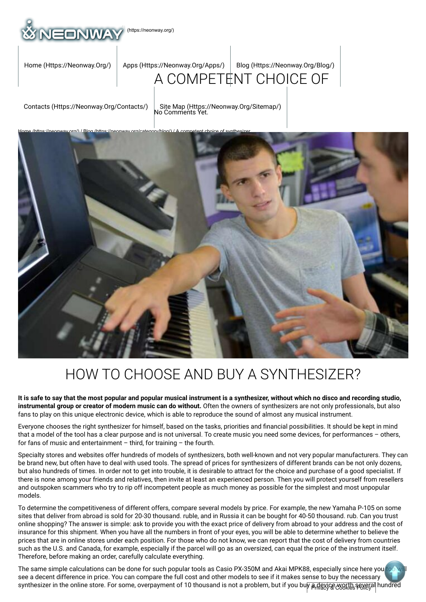

[Home \(Https://Neonway.Org/\)](https://neonway.org/) | Apps (Https://Neonway.Org/Apps/) | Blog (Https://Neonway.Org/Blog/)

## [A COMPETE](https://neonway.org/apps/)[NT CHOICE OF](https://neonway.org/blog/)

[Contacts \(Https://Neonway.Org/Contacts/\)](https://neonway.org/contacts/) | [Site Map \(Https://Neonway.Org/Sitemap/\)](https://neonway.org/sitemap/)<br>No Comments Yet.



# HOW TO CHOOSE AND BUY A SYNTHESIZER?

**It is safe to say that the most popular and popular musical instrument is a synthesizer, without which no disco and recording studio, instrumental group or creator of modern music can do without.** Often the owners of synthesizers are not only professionals, but also fans to play on this unique electronic device, which is able to reproduce the sound of almost any musical instrument.

Everyone chooses the right synthesizer for himself, based on the tasks, priorities and nancial possibilities. It should be kept in mind that a model of the tool has a clear purpose and is not universal. To create music you need some devices, for performances – others, for fans of music and entertainment – third, for training – the fourth.

Specialty stores and websites offer hundreds of models of synthesizers, both well-known and not very popular manufacturers. They can be brand new, but often have to deal with used tools. The spread of prices for synthesizers of different brands can be not only dozens, but also hundreds of times. In order not to get into trouble, it is desirable to attract for the choice and purchase of a good specialist. If there is none among your friends and relatives, then invite at least an experienced person. Then you will protect yourself from resellers and outspoken scammers who try to rip off incompetent people as much money as possible for the simplest and most unpopular models.

To determine the competitiveness of different offers, compare several models by price. For example, the new Yamaha P-105 on some sites that deliver from abroad is sold for 20-30 thousand. ruble, and in Russia it can be bought for 40-50 thousand. rub. Can you trust online shopping? The answer is simple: ask to provide you with the exact price of delivery from abroad to your address and the cost of insurance for this shipment. When you have all the numbers in front of your eyes, you will be able to determine whether to believe the prices that are in online stores under each position. For those who do not know, we can report that the cost of delivery from countries such as the U.S. and Canada, for example, especially if the parcel will go as an oversized, can equal the price of the instrument itself. Therefore, before making an order, carefully calculate everything.

The same simple calculations can be done for such popular tools as Casio PX-350M and Akai MPK88, especially since here you see a decent difference in price. You can compare the full cost and other models to see if it makes sense to buy the necessary synthesizer in the online store. For some, overpayment of 10 thousand is not a problem, but if you bu<mark>y a device worth several</mark> hundred